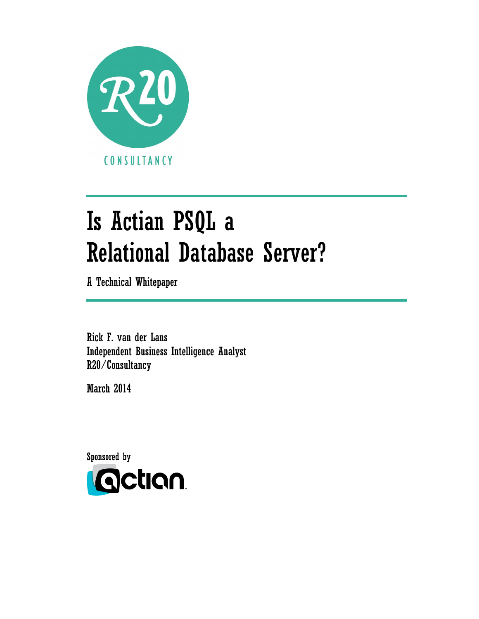

# Is Actian PSQL a Relational Database Server?

A Technical Whitepaper

Rick F. van der Lans Independent Business Intelligence Analyst R20/Consultancy

March 2014

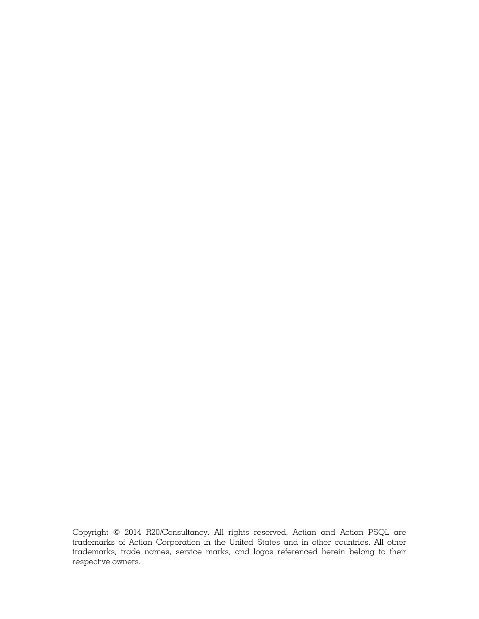Copyright © 2014 R20/Consultancy. All rights reserved. Actian and Actian PSQL are trademarks of Actian Corporation in the United States and in other countries. All other trademarks, trade names, service marks, and logos referenced herein belong to their respective owners.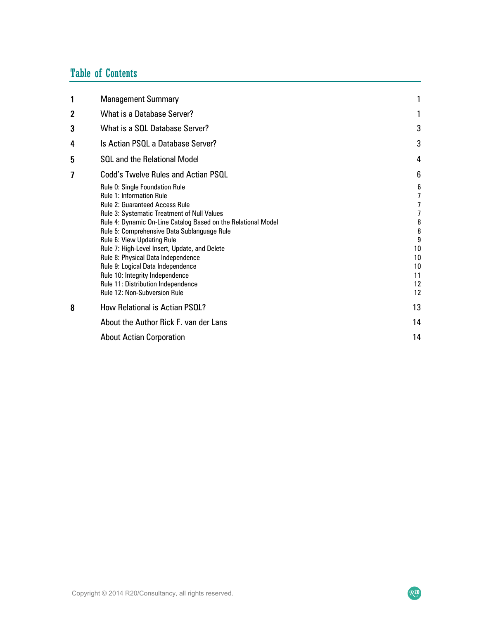# Table of Contents

| 1              | <b>Management Summary</b>                                                                                                                                                                                                                                                                                                                                                                                                                                                                                                                    |                                                                     |
|----------------|----------------------------------------------------------------------------------------------------------------------------------------------------------------------------------------------------------------------------------------------------------------------------------------------------------------------------------------------------------------------------------------------------------------------------------------------------------------------------------------------------------------------------------------------|---------------------------------------------------------------------|
| $\overline{2}$ | What is a Database Server?                                                                                                                                                                                                                                                                                                                                                                                                                                                                                                                   |                                                                     |
| 3              | What is a SQL Database Server?                                                                                                                                                                                                                                                                                                                                                                                                                                                                                                               | 3                                                                   |
| 4              | Is Actian PSQL a Database Server?                                                                                                                                                                                                                                                                                                                                                                                                                                                                                                            | 3                                                                   |
| 5              | <b>SQL and the Relational Model</b>                                                                                                                                                                                                                                                                                                                                                                                                                                                                                                          | 4                                                                   |
| 7              | <b>Codd's Twelve Rules and Actian PSQL</b>                                                                                                                                                                                                                                                                                                                                                                                                                                                                                                   | 6                                                                   |
|                | Rule 0: Single Foundation Rule<br><b>Rule 1: Information Rule</b><br><b>Rule 2: Guaranteed Access Rule</b><br>Rule 3: Systematic Treatment of Null Values<br>Rule 4: Dynamic On-Line Catalog Based on the Relational Model<br>Rule 5: Comprehensive Data Sublanguage Rule<br>Rule 6: View Updating Rule<br>Rule 7: High-Level Insert, Update, and Delete<br>Rule 8: Physical Data Independence<br>Rule 9: Logical Data Independence<br>Rule 10: Integrity Independence<br>Rule 11: Distribution Independence<br>Rule 12: Non-Subversion Rule | 6<br>7<br>7<br>7<br>8<br>8<br>9<br>10<br>10<br>10<br>11<br>12<br>12 |
| 8              | <b>How Relational is Actian PSQL?</b>                                                                                                                                                                                                                                                                                                                                                                                                                                                                                                        | 13                                                                  |
|                | About the Author Rick F. van der Lans                                                                                                                                                                                                                                                                                                                                                                                                                                                                                                        | 14                                                                  |
|                | <b>About Actian Corporation</b>                                                                                                                                                                                                                                                                                                                                                                                                                                                                                                              | 14                                                                  |

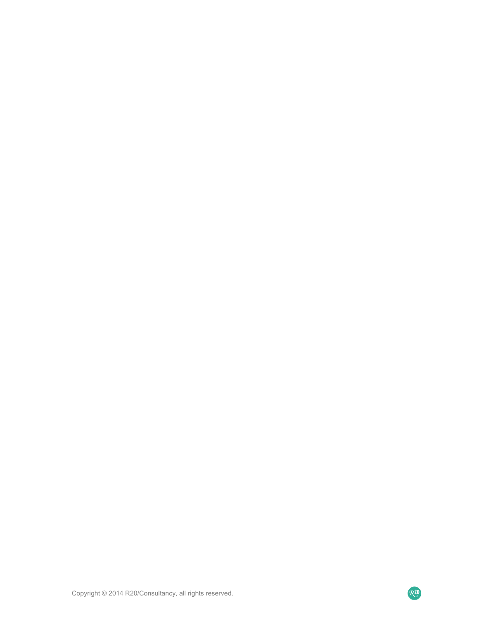R20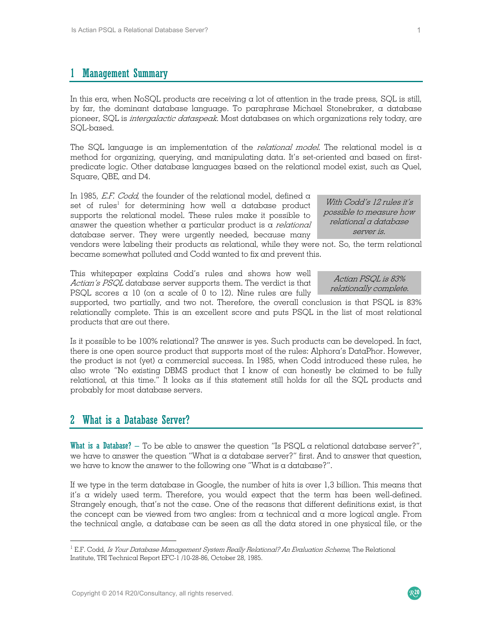## **Management Summary**

In this era, when  $NoSQL$  products are receiving a lot of attention in the trade press,  $SQL$  is still, by far, the dominant database language. To paraphrase Michael Stonebraker, a database pioneer, SQL is intergalactic dataspeak. Most databases on which organizations rely today, are SQL-based.

The SQL language is an implementation of the *relational model*. The relational model is a method for organizing, querying, and manipulating data. It's set-oriented and based on firstpredicate logic. Other database languages based on the relational model exist, such as Quel, Square, QBE, and D4.

In 1985, E.F. Codd, the founder of the relational model, defined a set of rules<sup>1</sup> for determining how well a database product supports the relational model. These rules make it possible to answer the question whether a particular product is a relational database server. They were urgently needed, because many

With Codd's 12 rules it's possible to measure how relational a database server is.

vendors were labeling their products as relational, while they were not. So, the term relational became somewhat polluted and Codd wanted to fix and prevent this.

This whitepaper explains Codd's rules and shows how well Actian's PSQL database server supports them. The verdict is that PSQL scores a 10 (on a scale of 0 to 12). Nine rules are fully

Actian PSQL is 83% relationally complete.

 $\overline{\mathcal{R}}$ 20

supported, two partially, and two not. Therefore, the overall conclusion is that PSQL is 83% relationally complete. This is an excellent score and puts PSQL in the list of most relational products that are out there.

Is it possible to be 100% relational? The answer is yes. Such products can be developed. In fact, there is one open source product that supports most of the rules: Alphora's DataPhor. However, the product is not (yet) a commercial success. In 1985, when Codd introduced these rules, he also wrote "No existing DBMS product that I know of can honestly be claimed to be fully relational, at this time." It looks as if this statement still holds for all the SQL products and probably for most database servers.

## 2 What is a Database Server?

What is a Database? – To be able to answer the question "Is  $PSQL$  a relational database server?", we have to answer the question "What is a database server?" first. And to answer that question, we have to know the answer to the following one "What is a database?".

If we type in the term database in Google, the number of hits is over 1,3 billion. This means that it's a widely used term. Therefore, you would expect that the term has been well-defined. Strangely enough, that's not the case. One of the reasons that different definitions exist, is that the concept can be viewed from two angles: from a technical and a more logical angle. From the technical angle, a database can be seen as all the data stored in one physical file, or the

 $^{1}$  E.F. Codd, *Is Your Database Management System Really Relational? An Evaluation Scheme*, The Relational Institute, TRI Technical Report EFC-1 /10-28-86, October 28, 1985.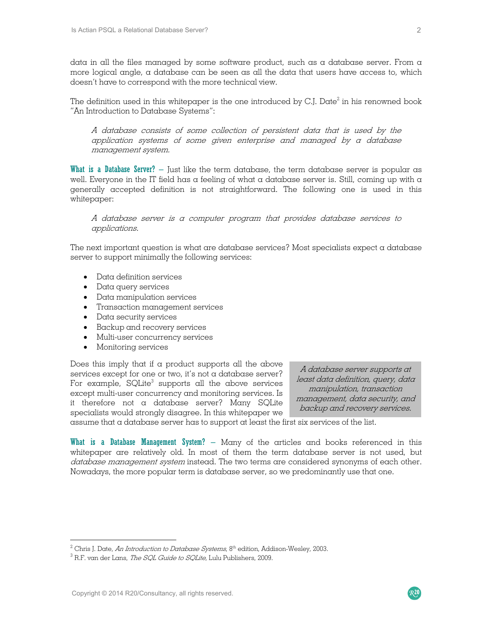data in all the files managed by some software product, such as a database server. From  $\alpha$ more logical angle, a database can be seen as all the data that users have access to, which doesn't have to correspond with the more technical view.

The definition used in this whitepaper is the one introduced by C.J. Date $^2$  in his renowned book "An Introduction to Database Systems":

A database consists of some collection of persistent data that is used by the application systems of some given enterprise and managed by a database management system.

What is a Database Server?  $-$  Just like the term database, the term database server is popular as well. Everyone in the IT field has a feeling of what a database server is. Still, coming up with a generally accepted definition is not straightforward. The following one is used in this whitepaper:

A database server is a computer program that provides database services to applications.

The next important question is what are database services? Most specialists expect a database server to support minimally the following services:

- Data definition services
- Data query services
- Data manipulation services
- Transaction management services
- Data security services
- Backup and recovery services
- Multi-user concurrency services
- Monitoring services

Does this imply that if a product supports all the above services except for one or two, it's not a database server? For example,  $\text{SQLite}^3$  supports all the above services except multi-user concurrency and monitoring services. Is it therefore not a database server? Many SQLite specialists would strongly disagree. In this whitepaper we

A database server supports at least data definition, query, data manipulation, transaction management, data security, and backup and recovery services.

assume that a database server has to support at least the first six services of the list.

What is a Database Management System? – Many of the articles and books referenced in this whitepaper are relatively old. In most of them the term database server is not used, but database management system instead. The two terms are considered synonyms of each other. Nowadays, the more popular term is database server, so we predominantly use that one.

 $^2$  Chris J. Date, *An Introduction to Database Systems*,  $8^{\text{th}}$  edition, Addison-Wesley, 2003.

 $^3$  R.F. van der Lans, *The SOL Guide to SOLite*, Lulu Publishers, 2009.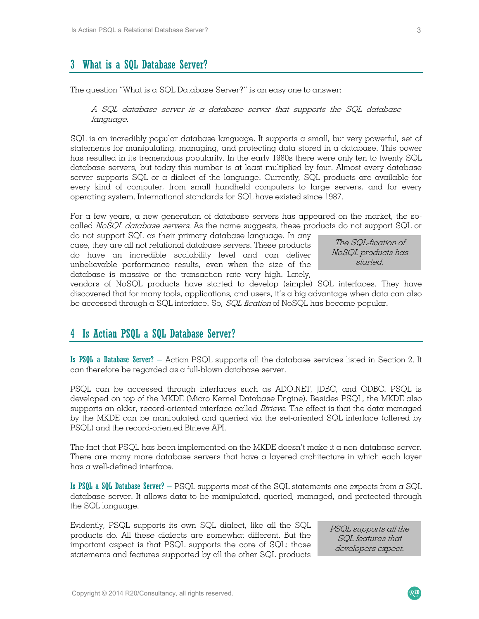## 3 What is a SQL Database Server?

The question "What is a SQL Database Server?" is an easy one to answer:

A SQL database server is a database server that supports the SQL database language.

SQL is an incredibly popular database language. It supports a small, but very powerful, set of statements for manipulating, managing, and protecting data stored in a database. This power has resulted in its tremendous popularity. In the early 1980s there were only ten to twenty SQL database servers, but today this number is at least multiplied by four. Almost every database server supports SQL or a dialect of the language. Currently, SQL products are available for every kind of computer, from small handheld computers to large servers, and for every operating system. International standards for SQL have existed since 1987.

For a few years, a new generation of database servers has appeared on the market, the socalled NoSQL database servers. As the name suggests, these products do not support SQL or

do not support SQL as their primary database language. In any case, they are all not relational database servers. These products do have an incredible scalability level and can deliver unbelievable performance results, even when the size of the database is massive or the transaction rate very high. Lately,

The SQL-fication of NoSQL products has started.

vendors of NoSQL products have started to develop (simple) SQL interfaces. They have discovered that for many tools, applications, and users, it's a big advantage when data can also be accessed through a SQL interface. So, *SQL-fication* of NoSQL has become popular.

## 4 Is Actian PSQL a SQL Database Server?

Is PSQL a Database Server?  $-$  Action PSQL supports all the database services listed in Section 2. It can therefore be regarded as a full-blown database server.

PSQL can be accessed through interfaces such as ADO.NET, JDBC, and ODBC. PSQL is developed on top of the MKDE (Micro Kernel Database Engine). Besides PSQL, the MKDE also supports an older, record-oriented interface called *Btrieve*. The effect is that the data managed by the MKDE can be manipulated and queried via the set-oriented SQL interface (offered by PSQL) and the record-oriented Btrieve API.

The fact that PSQL has been implemented on the MKDE doesn't make it a non-database server. There are many more database servers that have a layered architecture in which each layer has a well-defined interface.

Is PSQL a SQL Database Server?  $-$  PSQL supports most of the SQL statements one expects from  $\alpha$  SQL database server. It allows data to be manipulated, queried, managed, and protected through the SQL language.

Evidently, PSQL supports its own SQL dialect, like all the SQL products do. All these dialects are somewhat different. But the important aspect is that PSQL supports the core of SQL: those statements and features supported by all the other SQL products

PSQL supports all the SQL features that developers expect.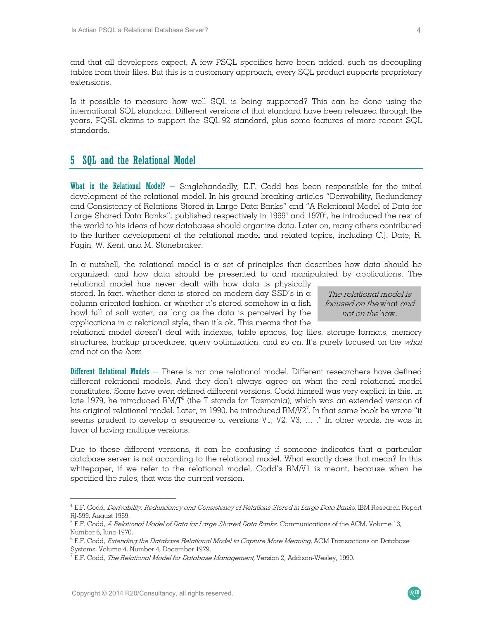and that all developers expect. A few PSQL specifics have been added, such as decoupling tables from their files. But this is a customary approach, every SQL product supports proprietary extensions.

Is it possible to measure how well SQL is being supported? This can be done using the international SQL standard. Different versions of that standard have been released through the years. PQSL claims to support the SQL-92 standard, plus some features of more recent SQL standards.

## 5 SQL and the Relational Model

What is the Relational Model? – Singlehandedly, E.F. Codd has been responsible for the initial development of the relational model. In his ground-breaking articles "Derivability, Redundancy and Consistency of Relations Stored in Large Data Banks" and "A Relational Model of Data for Large Shared Data Banks", published respectively in  $1969<sup>4</sup>$  and  $1970<sup>5</sup>$ , he introduced the rest of the world to his ideas of how databases should organize data. Later on, many others contributed to the further development of the relational model and related topics, including C.J. Date, R. Fagin, W. Kent, and M. Stonebraker.

In a nutshell, the relational model is a set of principles that describes how data should be organized, and how data should be presented to and manipulated by applications. The

relational model has never dealt with how data is physically stored. In fact, whether data is stored on modern-day SSD's in a column-oriented fashion, or whether it's stored somehow in a fish bowl full of salt water, as long as the data is perceived by the applications in a relational style, then it's ok. This means that the

The relational model is focused on the what and not on the how.

relational model doesn't deal with indexes, table spaces, log files, storage formats, memory structures, backup procedures, query optimization, and so on. It's purely focused on the what and not on the how.

Different Relational Models – There is not one relational model. Different researchers have defined different relational models. And they don't always agree on what the real relational model constitutes. Some have even defined different versions. Codd himself was very explicit in this. In late 1979, he introduced RM/T $^{\circ}$  (the T stands for Tasmania), which was an extended version of his original relational model. Later, in 1990, he introduced RM/V2<sup>7</sup>. In that same book he wrote "it seems prudent to develop a sequence of versions V1, V2, V3, … ." In other words, he was in favor of having multiple versions.

Due to these different versions, it can be confusing if someone indicates that a particular database server is not according to the relational model. What exactly does that mean? In this whitepaper, if we refer to the relational model, Codd's RM/V1 is meant, because when he specified the rules, that was the current version.

 $\overline{a}$ 

<sup>&</sup>lt;sup>4</sup> E.F. Codd, *Derivability, Redundancy and Consistency of Relations Stored in Large Data Banks*, IBM Research Report RJ-599, August 1969.

<sup>&</sup>lt;sup>5</sup> E.F. Codd, *A Relational Model of Data for Large Shared Data Banks*, Communications of the ACM, Volume 13, Number 6, June 1970.

 $^6$  E.F. Codd, *Extending the Database Relational Model to Capture More Meaning*, ACM Transactions on Database Systems, Volume 4, Number 4, December 1979.

 $^7$  E.F. Codd, *The Relational Model for Database Management,* Version 2, Addison-Wesley, 1990.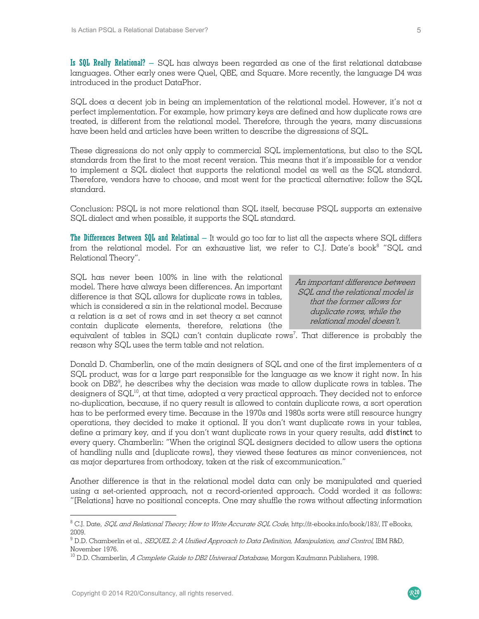Is SQL Really Relational?  $-$  SQL has always been regarded as one of the first relational database languages. Other early ones were Quel, QBE, and Square. More recently, the language D4 was introduced in the product DataPhor.

SQL does a decent job in being an implementation of the relational model. However, it's not a perfect implementation. For example, how primary keys are defined and how duplicate rows are treated, is different from the relational model. Therefore, through the years, many discussions have been held and articles have been written to describe the digressions of SQL.

These digressions do not only apply to commercial SQL implementations, but also to the SQL standards from the first to the most recent version. This means that it's impossible for a vendor to implement a SQL dialect that supports the relational model as well as the SQL standard. Therefore, vendors have to choose, and most went for the practical alternative: follow the SQL standard.

Conclusion: PSQL is not more relational than SQL itself, because PSQL supports an extensive SQL dialect and when possible, it supports the SQL standard.

The Differences Between SQL and Relational – It would go too far to list all the aspects where SQL differs from the relational model. For an exhaustive list, we refer to C.J. Date's book $^8$  "SQL and Relational Theory".

SQL has never been 100% in line with the relational model. There have always been differences. An important difference is that SQL allows for duplicate rows in tables, which is considered a sin in the relational model. Because a relation is a set of rows and in set theory a set cannot contain duplicate elements, therefore, relations (the

An important difference between SQL and the relational model is that the former allows for duplicate rows, while the relational model doesn't.

 $R^{20}$ 

equivalent of tables in SQL) can't contain duplicate rows<sup>7</sup>. That difference is probably the reason why SQL uses the term table and not relation.

Donald D. Chamberlin, one of the main designers of SQL and one of the first implementers of  $\alpha$ SQL product, was for a large part responsible for the language as we know it right now. In his book on DB2 $^9$ , he describes why the decision was made to allow duplicate rows in tables. The designers of  $SQL^{10}$ , at that time, adopted a very practical approach. They decided not to enforce no-duplication, because, if no query result is allowed to contain duplicate rows, a sort operation has to be performed every time. Because in the 1970s and 1980s sorts were still resource hungry operations, they decided to make it optional. If you don't want duplicate rows in your tables, define a primary key, and if you don't want duplicate rows in your query results, add distinct to every query. Chamberlin: "When the original SQL designers decided to allow users the options of handling nulls and [duplicate rows], they viewed these features as minor conveniences, not as major departures from orthodoxy, taken at the risk of excommunication."

Another difference is that in the relational model data can only be manipulated and queried using a set-oriented approach, not a record-oriented approach. Codd worded it as follows: "[Relations] have no positional concepts. One may shuffle the rows without affecting information

 $\overline{a}$ 

 $8$  C.J. Date,  $SQL$  and Relational Theory; How to Write Accurate SQL Code, http://it-ebooks.info/book/183/, IT eBooks, 2009.

 $^9$  D.D. Chamberlin et al., *SEQUEL 2: A Unified Approach to Data Definition, Manipulation, and Control*, IBM R&D, November 1976.<br><sup>10</sup> D.D. Chamberlin, *A Complete Guide to DB2 Universal Database,* Morgan Kaufmann Publishers, 1998.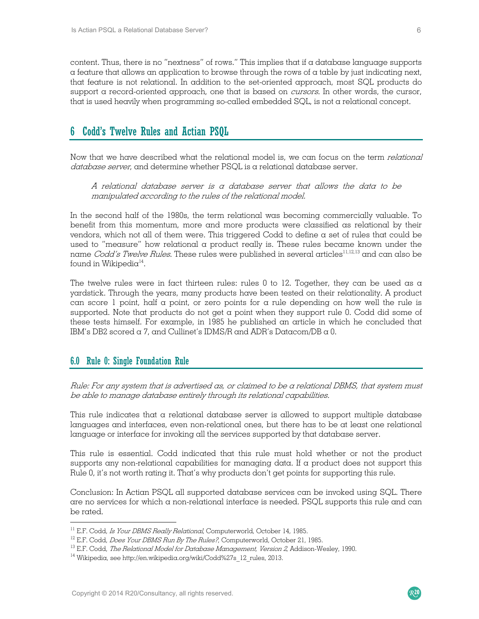content. Thus, there is no "nextness" of rows." This implies that if a database language supports  $\alpha$  feature that allows an application to browse through the rows of  $\alpha$  table by just indicating next, that feature is not relational. In addition to the set-oriented approach, most SQL products do support a record-oriented approach, one that is based on *cursors*. In other words, the cursor, that is used heavily when programming so-called embedded SQL, is not a relational concept.

## 6 Codd's Twelve Rules and Actian PSQL

Now that we have described what the relational model is, we can focus on the term *relational* database server, and determine whether PSQL is a relational database server.

A relational database server is a database server that allows the data to be manipulated according to the rules of the relational model.

In the second half of the 1980s, the term relational was becoming commercially valuable. To benefit from this momentum, more and more products were classified as relational by their vendors, which not all of them were. This triggered Codd to define  $\alpha$  set of rules that could be used to "measure" how relational a product really is. These rules became known under the name Codd's Twelve Rules. These rules were published in several articles<sup>11,12,13</sup> and can also be found in Wikipedia $14$ .

The twelve rules were in fact thirteen rules: rules  $0$  to 12. Together, they can be used as  $\alpha$ yardstick. Through the years, many products have been tested on their relationality. A product can score 1 point, half a point, or zero points for a rule depending on how well the rule is supported. Note that products do not get  $\alpha$  point when they support rule 0. Codd did some of these tests himself. For example, in 1985 he published an article in which he concluded that IBM's DB2 scored a 7, and Cullinet's IDMS/R and ADR's Datacom/DB a 0.

#### 6.0 Rule 0: Single Foundation Rule

 $\overline{a}$ 

Rule: For any system that is advertised as, or claimed to be a relational DBMS, that system must be able to manage database entirely through its relational capabilities.

This rule indicates that a relational database server is allowed to support multiple database languages and interfaces, even non-relational ones, but there has to be at least one relational language or interface for invoking all the services supported by that database server.

This rule is essential. Codd indicated that this rule must hold whether or not the product supports any non-relational capabilities for managing data. If  $\alpha$  product does not support this Rule 0, it's not worth rating it. That's why products don't get points for supporting this rule.

Conclusion: In Actian PSQL all supported database services can be invoked using SQL. There are no services for which a non-relational interface is needed. PSQL supports this rule and can be rated.



 $11$  E.F. Codd, Is Your DBMS Really Relational, Computerworld, October 14, 1985.

 $12$  E.F. Codd, *Does Your DBMS Run By The Rules?*, Computerworld, October 21, 1985.

<sup>&</sup>lt;sup>13</sup> E.F. Codd, *The Relational Model for Database Management, Version 2*, Addison-Wesley, 1990.<br><sup>14</sup> Wikipedia, see http://en.wikipedia.org/wiki/Codd%27s\_12\_rules, 2013.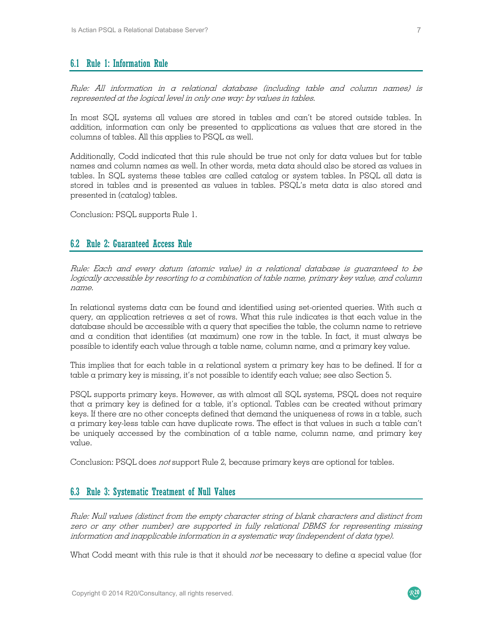#### 6.1 Rule 1: Information Rule

Rule: All information in a relational database (including table and column names) is represented at the logical level in only one way: by values in tables.

In most SQL systems all values are stored in tables and can't be stored outside tables. In addition, information can only be presented to applications as values that are stored in the columns of tables. All this applies to PSQL as well.

Additionally, Codd indicated that this rule should be true not only for data values but for table names and column names as well. In other words, meta data should also be stored as values in tables. In SQL systems these tables are called catalog or system tables. In PSQL all data is stored in tables and is presented as values in tables. PSQL's meta data is also stored and presented in (catalog) tables.

Conclusion: PSQL supports Rule 1.

#### 6.2 Rule 2: Guaranteed Access Rule

Rule: Each and every datum (atomic value) in a relational database is guaranteed to be logically accessible by resorting to a combination of table name, primary key value, and column name.

In relational systems data can be found and identified using set-oriented queries. With such  $\alpha$ query, an application retrieves a set of rows. What this rule indicates is that each value in the database should be accessible with a query that specifies the table, the column name to retrieve and a condition that identifies (at maximum) one row in the table. In fact, it must always be possible to identify each value through a table name, column name, and a primary key value.

This implies that for each table in a relational system a primary key has to be defined. If for a table a primary key is missing, it's not possible to identify each value; see also Section 5.

PSQL supports primary keys. However, as with almost all SQL systems, PSQL does not require that a primary key is defined for a table, it's optional. Tables can be created without primary keys. If there are no other concepts defined that demand the uniqueness of rows in a table, such a primary key-less table can have duplicate rows. The effect is that values in such a table can't be uniquely accessed by the combination of  $\alpha$  table name, column name, and primary key value.

Conclusion: PSQL does not support Rule 2, because primary keys are optional for tables.

#### 6.3 Rule 3: Systematic Treatment of Null Values

Rule: Null values (distinct from the empty character string of blank characters and distinct from zero or any other number) are supported in fully relational DBMS for representing missing information and inapplicable information in a systematic way (independent of data type).

What Codd meant with this rule is that it should *not* be necessary to define a special value (for

 $R<sub>20</sub>$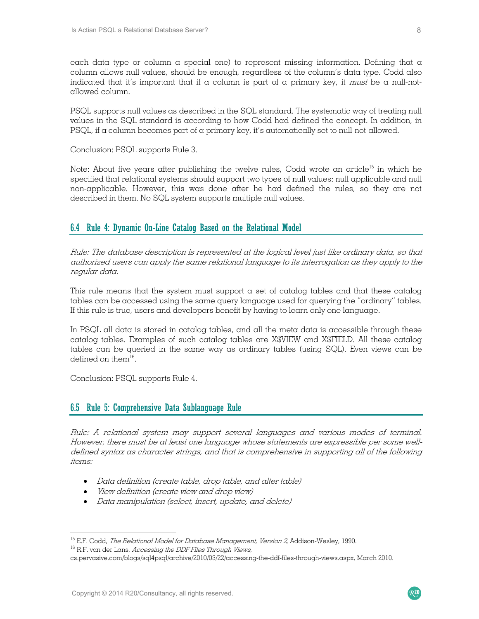each data type or column a special one) to represent missing information. Defining that  $\alpha$ column allows null values, should be enough, regardless of the column's data type. Codd also indicated that it's important that if a column is part of a primary key, it must be a null-notallowed column.

PSQL supports null values as described in the SQL standard. The systematic way of treating null values in the SQL standard is according to how Codd had defined the concept. In addition, in PSQL, if a column becomes part of a primary key, it's automatically set to null-not-allowed.

Conclusion: PSQL supports Rule 3.

Note: About five years after publishing the twelve rules, Codd wrote an article<sup>15</sup> in which he specified that relational systems should support two types of null values: null applicable and null non-applicable. However, this was done after he had defined the rules, so they are not described in them. No SQL system supports multiple null values.

#### 6.4 Rule 4: Dynamic On-Line Catalog Based on the Relational Model

Rule: The database description is represented at the logical level just like ordinary data, so that authorized users can apply the same relational language to its interrogation as they apply to the regular data.

This rule means that the system must support  $\alpha$  set of catalog tables and that these catalog tables can be accessed using the same query language used for querying the "ordinary" tables. If this rule is true, users and developers benefit by having to learn only one language.

In PSQL all data is stored in catalog tables, and all the meta data is accessible through these catalog tables. Examples of such catalog tables are X\$VIEW and X\$FIELD. All these catalog tables can be queried in the same way as ordinary tables (using SQL). Even views can be defined on them<sup>16</sup>.

Conclusion: PSQL supports Rule 4.

#### 6.5 Rule 5: Comprehensive Data Sublanguage Rule

Rule: A relational system may support several languages and various modes of terminal. However, there must be at least one language whose statements are expressible per some welldefined syntax as character strings, and that is comprehensive in supporting all of the following items:

- Data definition (create table, drop table, and alter table)
- View definition (create view and drop view)
- Data manipulation (select, insert, update, and delete)

 $\overline{a}$ 

 $^{15}$  E.F. Codd, *The Relational Model for Database Management, Version 2*, Addison-Wesley, 1990.

 $16$  R.F. van der Lans, Accessing the DDF Files Through Views,

cs.pervasive.com/blogs/sql4psql/archive/2010/03/22/accessing-the-ddf-files-through-views.aspx, March 2010.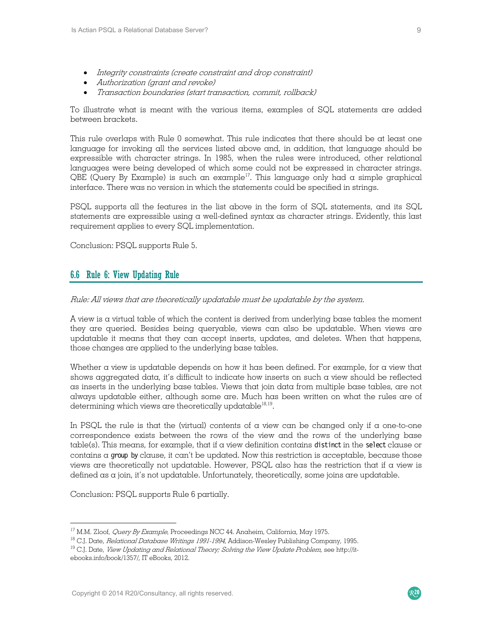- Integrity constraints (create constraint and drop constraint)
- Authorization (grant and revoke)
- Transaction boundaries (start transaction, commit, rollback)

To illustrate what is meant with the various items, examples of SQL statements are added between brackets.

This rule overlaps with Rule 0 somewhat. This rule indicates that there should be at least one language for invoking all the services listed above and, in addition, that language should be expressible with character strings. In 1985, when the rules were introduced, other relational languages were being developed of which some could not be expressed in character strings. QBE (Query By Example) is such an example<sup>17</sup>. This language only had a simple graphical interface. There was no version in which the statements could be specified in strings.

PSQL supports all the features in the list above in the form of SQL statements, and its SQL statements are expressible using a well-defined syntax as character strings. Evidently, this last requirement applies to every SQL implementation.

Conclusion: PSQL supports Rule 5.

#### 6.6 Rule 6: View Updating Rule

Rule: All views that are theoretically updatable must be updatable by the system.

A view is a virtual table of which the content is derived from underlying base tables the moment they are queried. Besides being queryable, views can also be updatable. When views are updatable it means that they can accept inserts, updates, and deletes. When that happens, those changes are applied to the underlying base tables.

Whether  $\alpha$  view is updatable depends on how it has been defined. For example, for  $\alpha$  view that shows aggregated data, it's difficult to indicate how inserts on such a view should be reflected as inserts in the underlying base tables. Views that join data from multiple base tables, are not always updatable either, although some are. Much has been written on what the rules are of determining which views are theoretically updatable<sup>18,19</sup>.

In PSQL the rule is that the (virtual) contents of  $\alpha$  view can be changed only if  $\alpha$  one-to-one correspondence exists between the rows of the view and the rows of the underlying base table(s). This means, for example, that if a view definition contains distinct in the select clause or contains  $\alpha$  group by clause, it can't be updated. Now this restriction is acceptable, because those views are theoretically not updatable. However, PSQL also has the restriction that if a view is defined as a join, it's not updatable. Unfortunately, theoretically, some joins are updatable.

Conclusion: PSQL supports Rule 6 partially.

 $\overline{a}$ 

 $R^{20}$ 

<sup>&</sup>lt;sup>17</sup> M.M. Zloof, *Query By Example*, Proceedings NCC 44. Anaheim, California, May 1975.<br><sup>18</sup> C.J. Date, *Relational Database Writings 1991-1994*, Addison-Wesley Publishing Company, 1995.<br><sup>19</sup> C.J. Date, *View Updating and* 

ebooks.info/book/1357/, IT eBooks, 2012.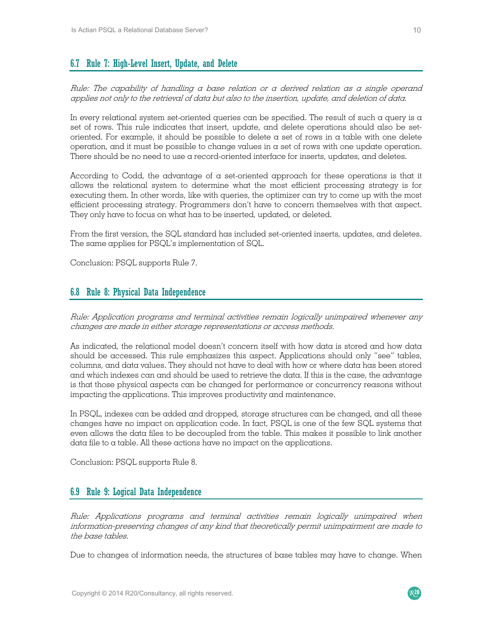#### 6.7 Rule 7: High-Level Insert, Update, and Delete

Rule: The capability of handling a base relation or a derived relation as a single operand applies not only to the retrieval of data but also to the insertion, update, and deletion of data.

In every relational system set-oriented queries can be specified. The result of such a query is a set of rows. This rule indicates that insert, update, and delete operations should also be setoriented. For example, it should be possible to delete  $\alpha$  set of rows in  $\alpha$  table with one delete operation, and it must be possible to change values in a set of rows with one update operation. There should be no need to use a record-oriented interface for inserts, updates, and deletes.

According to Codd, the advantage of  $\alpha$  set-oriented approach for these operations is that it allows the relational system to determine what the most efficient processing strategy is for executing them. In other words, like with queries, the optimizer can try to come up with the most efficient processing strategy. Programmers don't have to concern themselves with that aspect. They only have to focus on what has to be inserted, updated, or deleted.

From the first version, the SQL standard has included set-oriented inserts, updates, and deletes. The same applies for PSQL's implementation of SQL.

Conclusion: PSQL supports Rule 7.

#### 6.8 Rule 8: Physical Data Independence

Rule: Application programs and terminal activities remain logically unimpaired whenever any changes are made in either storage representations or access methods.

As indicated, the relational model doesn't concern itself with how data is stored and how data should be accessed. This rule emphasizes this aspect. Applications should only "see" tables, columns, and data values. They should not have to deal with how or where data has been stored and which indexes can and should be used to retrieve the data. If this is the case, the advantage is that those physical aspects can be changed for performance or concurrency reasons without impacting the applications. This improves productivity and maintenance.

In PSQL, indexes can be added and dropped, storage structures can be changed, and all these changes have no impact on application code. In fact, PSQL is one of the few SQL systems that even allows the data files to be decoupled from the table. This makes it possible to link another data file to a table. All these actions have no impact on the applications.

Conclusion: PSQL supports Rule 8.

#### 6.9 Rule 9: Logical Data Independence

Rule: Applications programs and terminal activities remain logically unimpaired when information-preserving changes of any kind that theoretically permit unimpairment are made to the base tables.

Due to changes of information needs, the structures of base tables may have to change. When

 $R^{20}$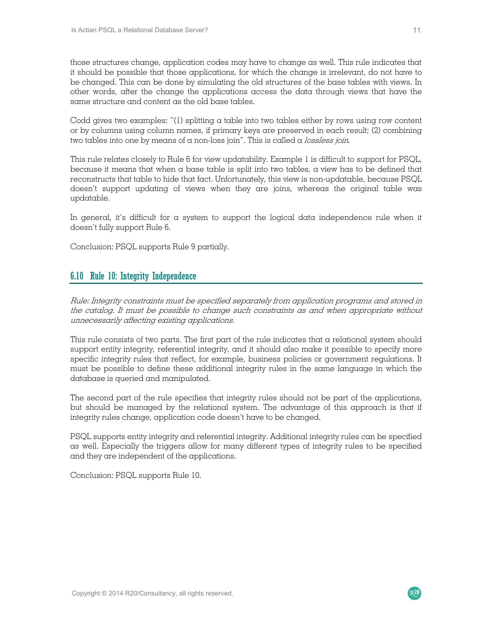those structures change, application codes may have to change as well. This rule indicates that it should be possible that those applications, for which the change is irrelevant, do not have to be changed. This can be done by simulating the old structures of the base tables with views. In other words, after the change the applications access the data through views that have the same structure and content as the old base tables.

Codd gives two examples: " $(1)$  splitting a table into two tables either by rows using row content or by columns using column names, if primary keys are preserved in each result; (2) combining two tables into one by means of a non-loss join". This is called a *lossless join*.

This rule relates closely to Rule 6 for view updatability. Example 1 is difficult to support for PSQL, because it means that when a base table is split into two tables, a view has to be defined that reconstructs that table to hide that fact. Unfortunately, this view is non-updatable, because PSQL doesn't support updating of views when they are joins, whereas the original table was updatable.

In general, it's difficult for a system to support the logical data independence rule when it doesn't fully support Rule 6.

Conclusion: PSQL supports Rule 9 partially.

### 6.10 Rule 10: Integrity Independence

Rule: Integrity constraints must be specified separately from application programs and stored in the catalog. It must be possible to change such constraints as and when appropriate without unnecessarily affecting existing applications.

This rule consists of two parts. The first part of the rule indicates that a relational system should support entity integrity, referential integrity, and it should also make it possible to specify more specific integrity rules that reflect, for example, business policies or government regulations. It must be possible to define these additional integrity rules in the same language in which the database is queried and manipulated.

The second part of the rule specifies that integrity rules should not be part of the applications, but should be managed by the relational system. The advantage of this approach is that if integrity rules change, application code doesn't have to be changed.

PSQL supports entity integrity and referential integrity. Additional integrity rules can be specified as well. Especially the triggers allow for many different types of integrity rules to be specified and they are independent of the applications.

Conclusion: PSQL supports Rule 10.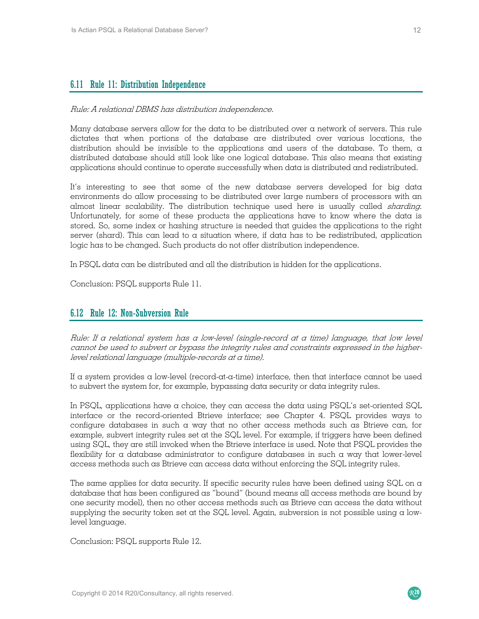#### 6.11 Rule 11: Distribution Independence

#### Rule: A relational DBMS has distribution independence.

Many database servers allow for the data to be distributed over a network of servers. This rule dictates that when portions of the database are distributed over various locations, the distribution should be invisible to the applications and users of the database. To them,  $\alpha$ distributed database should still look like one logical database. This also means that existing applications should continue to operate successfully when data is distributed and redistributed.

It's interesting to see that some of the new database servers developed for big data environments do allow processing to be distributed over large numbers of processors with an almost linear scalability. The distribution technique used here is usually called sharding. Unfortunately, for some of these products the applications have to know where the data is stored. So, some index or hashing structure is needed that guides the applications to the right server (shard). This can lead to a situation where, if data has to be redistributed, application logic has to be changed. Such products do not offer distribution independence.

In PSQL data can be distributed and all the distribution is hidden for the applications.

Conclusion: PSQL supports Rule 11.

#### 6.12 Rule 12: Non-Subversion Rule

Rule: If a relational system has a low-level (single-record at a time) language, that low level cannot be used to subvert or bypass the integrity rules and constraints expressed in the higherlevel relational language (multiple-records at a time).

If a system provides a low-level (record-at-a-time) interface, then that interface cannot be used to subvert the system for, for example, bypassing data security or data integrity rules.

In PSQL, applications have a choice, they can access the data using PSQL's set-oriented SQL interface or the record-oriented Btrieve interface; see Chapter 4. PSQL provides ways to configure databases in such a way that no other access methods such as Btrieve can, for example, subvert integrity rules set at the SQL level. For example, if triggers have been defined using SQL, they are still invoked when the Btrieve interface is used. Note that PSQL provides the flexibility for a database administrator to configure databases in such a way that lower-level access methods such as Btrieve can access data without enforcing the SQL integrity rules.

The same applies for data security. If specific security rules have been defined using SQL on  $\alpha$ database that has been configured as "bound" (bound means all access methods are bound by one security model), then no other access methods such as Btrieve can access the data without supplying the security token set at the SQL level. Again, subversion is not possible using  $\alpha$  lowlevel language.

Conclusion: PSQL supports Rule 12.

 $R^{20}$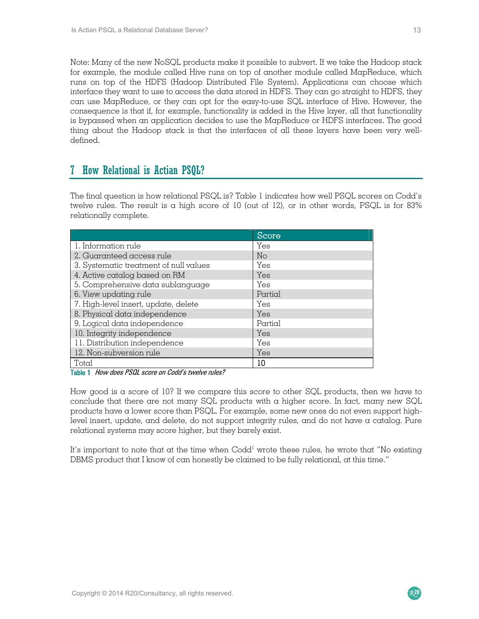Note: Many of the new NoSQL products make it possible to subvert. If we take the Hadoop stack for example, the module called Hive runs on top of another module called MapReduce, which runs on top of the HDFS (Hadoop Distributed File System). Applications can choose which interface they want to use to access the data stored in HDFS. They can go straight to HDFS, they can use MapReduce, or they can opt for the easy-to-use SQL interface of Hive. However, the consequence is that if, for example, functionality is added in the Hive layer, all that functionality is bypassed when an application decides to use the MapReduce or HDFS interfaces. The good thing about the Hadoop stack is that the interfaces of all these layers have been very welldefined.

## 7 How Relational is Actian PSQL?

The final question is how relational PSQL is? Table 1 indicates how well PSQL scores on Codd's twelve rules. The result is  $\alpha$  high score of 10 (out of 12), or in other words, PSQL is for 83% relationally complete.

|                                        | Score          |
|----------------------------------------|----------------|
| 1. Information rule                    | Yes            |
| 2. Guaranteed access rule              | N <sub>o</sub> |
| 3. Systematic treatment of null values | Yes            |
| 4. Active catalog based on RM          | Yes            |
| 5. Comprehensive data sublanguage      | Yes            |
| 6. View updating rule                  | Partial        |
| 7. High-level insert, update, delete   | Yes            |
| 8. Physical data independence          | Yes            |
| 9. Logical data independence           | Partial        |
| 10. Integrity independence             | Yes            |
| 11. Distribution independence          | Yes            |
| 12. Non-subversion rule                | Yes            |
| Total                                  | 10             |

Table 1 How does PSQL score on Codd's twelve rules?

How good is a score of  $10$ ? If we compare this score to other SQL products, then we have to conclude that there are not many SQL products with a higher score. In fact, many new SQL products have a lower score than PSQL. For example, some new ones do not even support highlevel insert, update, and delete, do not support integrity rules, and do not have a catalog. Pure relational systems may score higher, but they barely exist.

It's important to note that at the time when  $\mathrm{Codd}^\text{l}$  wrote these rules, he wrote that "No existing DBMS product that I know of can honestly be claimed to be fully relational, at this time."